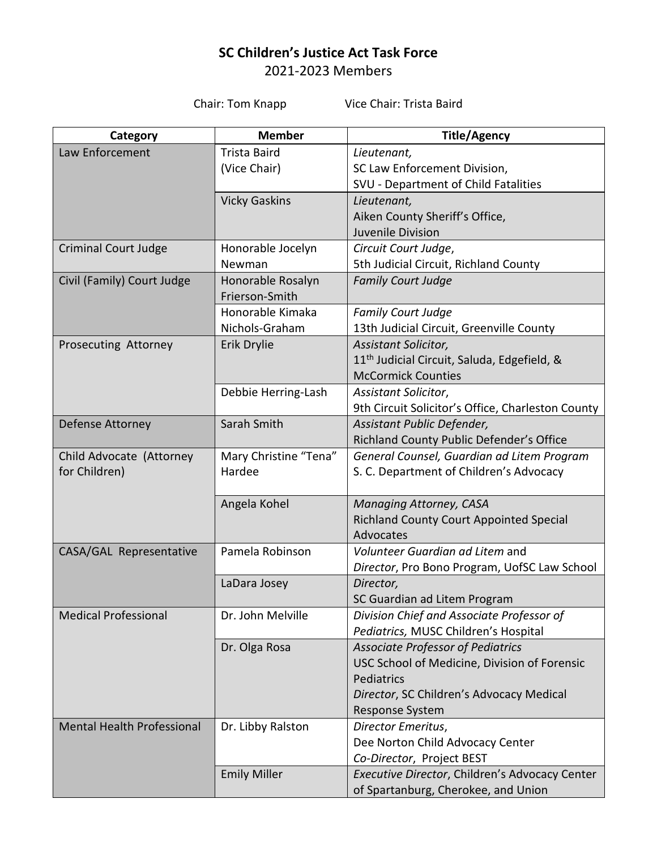## **SC Children's Justice Act Task Force** 2021-2023 Members

Chair: Tom Knapp Vice Chair: Trista Baird

| Category                          | <b>Member</b>         | <b>Title/Agency</b>                                     |
|-----------------------------------|-----------------------|---------------------------------------------------------|
| Law Enforcement                   | <b>Trista Baird</b>   | Lieutenant,                                             |
|                                   | (Vice Chair)          | SC Law Enforcement Division,                            |
|                                   |                       | SVU - Department of Child Fatalities                    |
|                                   | <b>Vicky Gaskins</b>  | Lieutenant,                                             |
|                                   |                       | Aiken County Sheriff's Office,                          |
|                                   |                       | Juvenile Division                                       |
| <b>Criminal Court Judge</b>       | Honorable Jocelyn     | Circuit Court Judge,                                    |
|                                   | Newman                | 5th Judicial Circuit, Richland County                   |
| Civil (Family) Court Judge        | Honorable Rosalyn     | <b>Family Court Judge</b>                               |
|                                   | Frierson-Smith        |                                                         |
|                                   | Honorable Kimaka      | <b>Family Court Judge</b>                               |
|                                   | Nichols-Graham        | 13th Judicial Circuit, Greenville County                |
| Prosecuting Attorney              | Erik Drylie           | Assistant Solicitor,                                    |
|                                   |                       | 11 <sup>th</sup> Judicial Circuit, Saluda, Edgefield, & |
|                                   |                       | <b>McCormick Counties</b>                               |
|                                   | Debbie Herring-Lash   | Assistant Solicitor,                                    |
|                                   |                       | 9th Circuit Solicitor's Office, Charleston County       |
| Defense Attorney                  | Sarah Smith           | Assistant Public Defender,                              |
|                                   |                       | Richland County Public Defender's Office                |
| Child Advocate (Attorney          | Mary Christine "Tena" | General Counsel, Guardian ad Litem Program              |
| for Children)                     | Hardee                | S. C. Department of Children's Advocacy                 |
|                                   |                       |                                                         |
|                                   | Angela Kohel          | Managing Attorney, CASA                                 |
|                                   |                       | Richland County Court Appointed Special                 |
|                                   |                       | Advocates                                               |
| CASA/GAL Representative           | Pamela Robinson       | Volunteer Guardian ad Litem and                         |
|                                   |                       | Director, Pro Bono Program, UofSC Law School            |
|                                   | LaDara Josey          | Director,                                               |
|                                   |                       | SC Guardian ad Litem Program                            |
| <b>Medical Professional</b>       | Dr. John Melville     | Division Chief and Associate Professor of               |
|                                   |                       | Pediatrics, MUSC Children's Hospital                    |
|                                   | Dr. Olga Rosa         | <b>Associate Professor of Pediatrics</b>                |
|                                   |                       | USC School of Medicine, Division of Forensic            |
|                                   |                       | Pediatrics                                              |
|                                   |                       | Director, SC Children's Advocacy Medical                |
|                                   |                       | Response System                                         |
| <b>Mental Health Professional</b> | Dr. Libby Ralston     | Director Emeritus,                                      |
|                                   |                       | Dee Norton Child Advocacy Center                        |
|                                   |                       | Co-Director, Project BEST                               |
|                                   | <b>Emily Miller</b>   | Executive Director, Children's Advocacy Center          |
|                                   |                       | of Spartanburg, Cherokee, and Union                     |